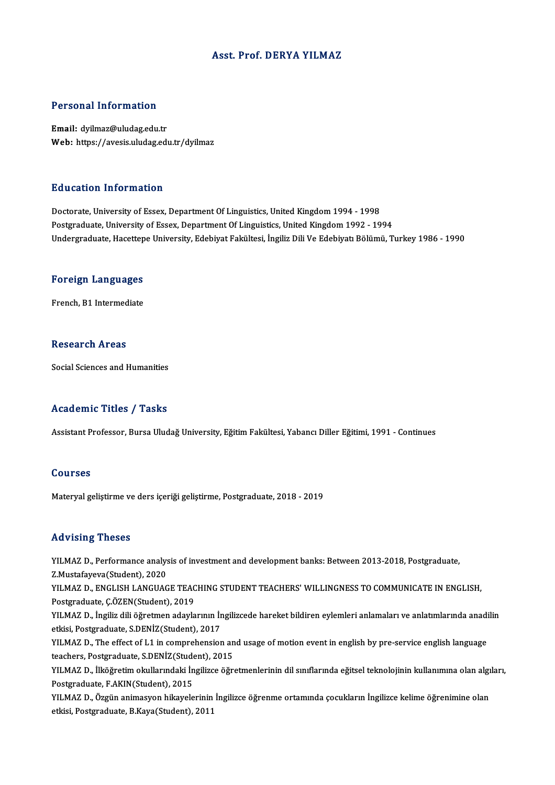#### Asst. Prof. DERYA YILMAZ

#### Personal Information

Email: dyilmaz@uludag.edu.tr Web: https://avesis.uludag.edu.tr/dyilmaz

#### Education Information

Doctorate, University of Essex, Department Of Linguistics, United Kingdom 1994 - 1998 Postgraduate, University of Essex, Department Of Linguistics, United Kingdom 1992 - 1994 Undergraduate, Hacettepe University, Edebiyat Fakültesi, İngiliz Dili Ve Edebiyatı Bölümü, Turkey 1986 - 1990

## <sub>ondergraduate, nacettep</sub><br>Foreign Languages <mark>Foreign Languages</mark><br>French, B1 Intermediate

French, B1 Intermediate<br>Research Areas

Social Sciences and Humanities

#### Academic Titles / Tasks

Assistant Professor, Bursa Uludağ University, Eğitim Fakültesi, Yabancı Diller Eğitimi, 1991 - Continues

#### Courses

Materyal geliştirme ve ders içeriği geliştirme, Postgraduate, 2018 - 2019

#### Advising Theses

Advising Theses<br>YILMAZ D., Performance analysis of investment and development banks: Between 2013-2018, Postgraduate,<br>Z Mustafoveve(Student), 2020 XXX VISING YIRSSOS<br>YILMAZ D., Performance analys<br>Z.Mustafayeva(Student), 2020<br>YU MAZ D., ENCLISH LANGUAC YILMAZ D., Performance analysis of investment and development banks: Between 2013-2018, Postgraduate,<br>Z.Mustafayeva(Student), 2020<br>YILMAZ D., ENGLISH LANGUAGE TEACHING STUDENT TEACHERS' WILLINGNESS TO COMMUNICATE IN ENGLIS

Z.Mustafayeva(Student), 2020<br>YILMAZ D., ENGLISH LANGUAGE TEACHING STUDENT TEACHERS' WILLINGNESS TO COMMUNICATE IN ENGLISH,<br>Postgraduate, Ç.ÖZEN(Student), 2019 YILMAZ D., ENGLISH LANGUAGE TEACHING STUDENT TEACHERS' WILLINGNESS TO COMMUNICATE IN ENGLISH,<br>Postgraduate, Ç.ÖZEN(Student), 2019<br>YILMAZ D., İngiliz dili öğretmen adaylarının İngilizcede hareket bildiren eylemleri anlamala

etkisi, Postgraduate, S.DENİZ(Student), 2017 YILMAZ D., İngiliz dili öğretmen adaylarının İngilizcede hareket bildiren eylemleri anlamaları ve anlatımlarında anadi<br>etkisi, Postgraduate, S.DENİZ(Student), 2017<br>YILMAZ D., The effect of L1 in comprehension and usage of

YILMAZ D., The effect of L1 in comprehension and usage of motion event in english by pre-service english language teachers, Postgraduate, S.DENİZ(Student), 2015

YILMAZ D., İlköğretim okullarındaki İngilizce öğretmenlerinin dil sınıflarında eğitsel teknolojinin kullanımına olan algıları,<br>Postgraduate, F.AKIN(Student), 2015 YILMAZ D., İlköğretim okullarındaki İngilizce öğretmenlerinin dil sınıflarında eğitsel teknolojinin kullanımına olan algı<br>Postgraduate, F.AKIN(Student), 2015<br>YILMAZ D., Özgün animasyon hikayelerinin İngilizce öğrenme ortam

Postgraduate, F.AKIN(Student), 2015<br>YILMAZ D., Özgün animasyon hikayelerinin İ<br>etkisi, Postgraduate, B.Kaya(Student), 2011